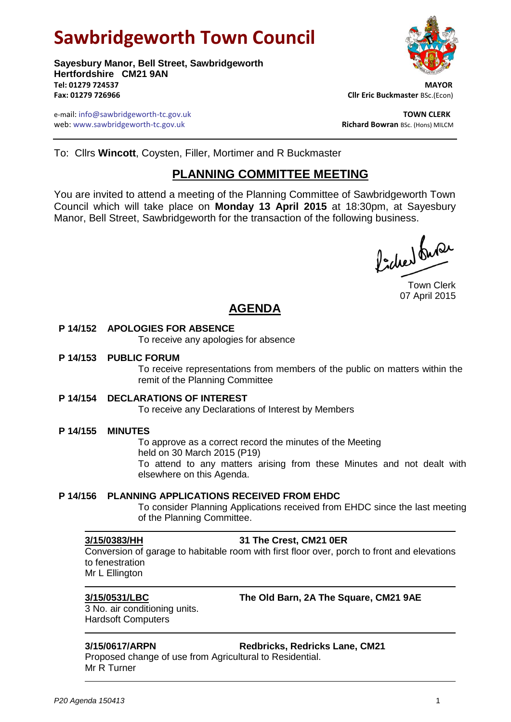# **Sawbridgeworth Town Council**

**Sayesbury Manor, Bell Street, Sawbridgeworth Hertfordshire CM21 9AN Tel: 01279 724537 MAYOR Fax: 01279 726966 Cllr Eric Buckmaster** BSc.(Econ)

e-mail: info@sawbridgeworth-tc.gov.uk **TOWN CLERK** web: www.sawbridgeworth-tc.gov.uk **Richard Bowran BSc. (Hons) MILCM** 



To: Cllrs **Wincott**, Coysten, Filler, Mortimer and R Buckmaster

# **PLANNING COMMITTEE MEETING**

You are invited to attend a meeting of the Planning Committee of Sawbridgeworth Town Council which will take place on **Monday 13 April 2015** at 18:30pm, at Sayesbury Manor, Bell Street, Sawbridgeworth for the transaction of the following business.

ladres buse

Town Clerk 07 April 2015

# **AGENDA**

### **P 14/152 APOLOGIES FOR ABSENCE**

To receive any apologies for absence

### **P 14/153 PUBLIC FORUM**

To receive representations from members of the public on matters within the remit of the Planning Committee

### **P 14/154 DECLARATIONS OF INTEREST**

To receive any Declarations of Interest by Members

### **P 14/155 MINUTES**

To approve as a correct record the minutes of the Meeting held on 30 March 2015 (P19) To attend to any matters arising from these Minutes and not dealt with elsewhere on this Agenda.

### **P 14/156 PLANNING APPLICATIONS RECEIVED FROM EHDC**

To consider Planning Applications received from EHDC since the last meeting of the Planning Committee.

### **3/15/0383/HH 31 The Crest, CM21 0ER**

Conversion of garage to habitable room with first floor over, porch to front and elevations to fenestration Mr L Ellington

**3/15/0531/LBC The Old Barn, 2A The Square, CM21 9AE**

3 No. air conditioning units. Hardsoft Computers

### **3/15/0617/ARPN Redbricks, Redricks Lane, CM21**

Proposed change of use from Agricultural to Residential. Mr R Turner